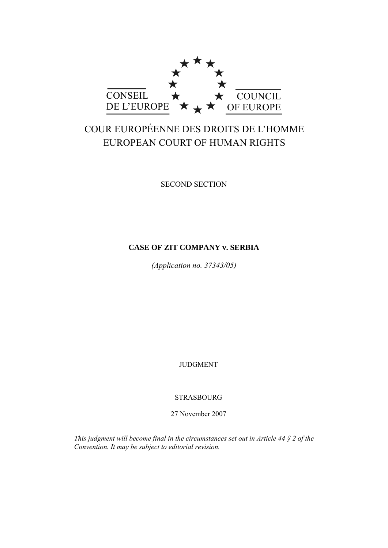

# COUR EUROPÉENNE DES DROITS DE L'HOMME EUROPEAN COURT OF HUMAN RIGHTS

SECOND SECTION

# **CASE OF ZIT COMPANY v. SERBIA**

*(Application no. 37343/05)* 

JUDGMENT

STRASBOURG

27 November 2007

*This judgment will become final in the circumstances set out in Article 44 § 2 of the Convention. It may be subject to editorial revision.*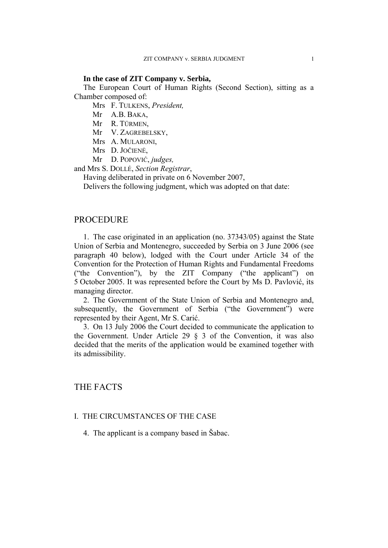### **In the case of ZIT Company v. Serbia,**

The European Court of Human Rights (Second Section), sitting as a Chamber composed of:

Mrs F. TULKENS, *President,* 

- Mr A.B. BAKA,
- Mr R. TÜRMEN,

Mr V. ZAGREBELSKY,

- Mrs A. MULARONI,
- Mrs D. JOČIENĖ,
- Mr D. POPOVIĆ, *judges,*

and Mrs S. DOLLÉ, *Section Registrar*,

Having deliberated in private on 6 November 2007,

Delivers the following judgment, which was adopted on that date:

### PROCEDURE

1. The case originated in an application (no. 37343/05) against the State Union of Serbia and Montenegro, succeeded by Serbia on 3 June 2006 (see paragraph 40 below), lodged with the Court under Article 34 of the Convention for the Protection of Human Rights and Fundamental Freedoms ("the Convention"), by the ZIT Company ("the applicant") on 5 October 2005. It was represented before the Court by Ms D. Pavlović, its managing director.

2. The Government of the State Union of Serbia and Montenegro and, subsequently, the Government of Serbia ("the Government") were represented by their Agent, Mr S. Carić.

3. On 13 July 2006 the Court decided to communicate the application to the Government. Under Article 29 § 3 of the Convention, it was also decided that the merits of the application would be examined together with its admissibility.

# THE FACTS

### I. THE CIRCUMSTANCES OF THE CASE

4. The applicant is a company based in Šabac.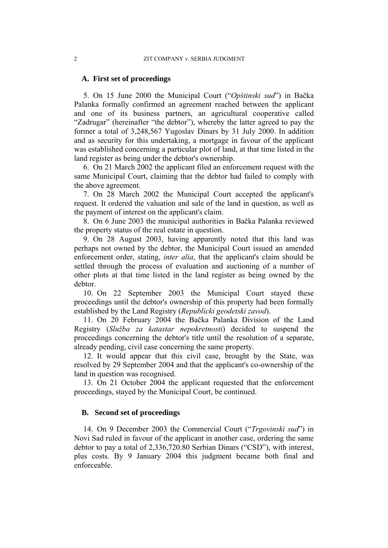### **A. First set of proceedings**

5. On 15 June 2000 the Municipal Court ("*Opštinski sud*") in Bačka Palanka formally confirmed an agreement reached between the applicant and one of its business partners, an agricultural cooperative called "Zadrugar" (hereinafter "the debtor"), whereby the latter agreed to pay the former a total of 3,248,567 Yugoslav Dinars by 31 July 2000. In addition and as security for this undertaking, a mortgage in favour of the applicant was established concerning a particular plot of land, at that time listed in the land register as being under the debtor's ownership.

6. On 21 March 2002 the applicant filed an enforcement request with the same Municipal Court, claiming that the debtor had failed to comply with the above agreement.

7. On 28 March 2002 the Municipal Court accepted the applicant's request. It ordered the valuation and sale of the land in question, as well as the payment of interest on the applicant's claim.

8. On 6 June 2003 the municipal authorities in Bačka Palanka reviewed the property status of the real estate in question.

9. On 28 August 2003, having apparently noted that this land was perhaps not owned by the debtor, the Municipal Court issued an amended enforcement order, stating, *inter alia*, that the applicant's claim should be settled through the process of evaluation and auctioning of a number of other plots at that time listed in the land register as being owned by the debtor.

10. On 22 September 2003 the Municipal Court stayed these proceedings until the debtor's ownership of this property had been formally established by the Land Registry (*Republicki geodetski zavod*).

11. On 20 February 2004 the Bačka Palanka Division of the Land Registry (*Služba za katastar nepokretnosti*) decided to suspend the proceedings concerning the debtor's title until the resolution of a separate, already pending, civil case concerning the same property.

12. It would appear that this civil case, brought by the State, was resolved by 29 September 2004 and that the applicant's co-ownership of the land in question was recognised.

13. On 21 October 2004 the applicant requested that the enforcement proceedings, stayed by the Municipal Court, be continued.

### **B. Second set of proceedings**

14. On 9 December 2003 the Commercial Court ("*Trgovinski sud*") in Novi Sad ruled in favour of the applicant in another case, ordering the same debtor to pay a total of 2,336,720.80 Serbian Dinars ("CSD"), with interest, plus costs. By 9 January 2004 this judgment became both final and enforceable.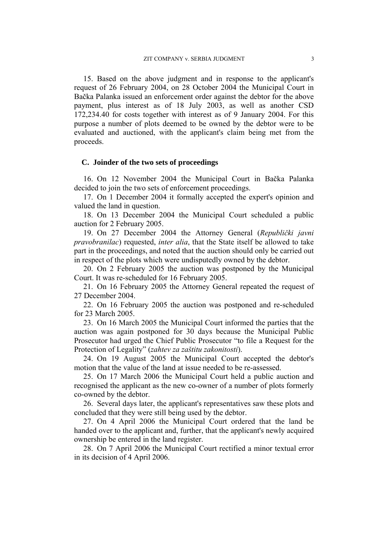15. Based on the above judgment and in response to the applicant's request of 26 February 2004, on 28 October 2004 the Municipal Court in Bačka Palanka issued an enforcement order against the debtor for the above payment, plus interest as of 18 July 2003, as well as another CSD 172,234.40 for costs together with interest as of 9 January 2004. For this purpose a number of plots deemed to be owned by the debtor were to be evaluated and auctioned, with the applicant's claim being met from the proceeds.

### **C. Joinder of the two sets of proceedings**

16. On 12 November 2004 the Municipal Court in Bačka Palanka decided to join the two sets of enforcement proceedings.

17. On 1 December 2004 it formally accepted the expert's opinion and valued the land in question.

18. On 13 December 2004 the Municipal Court scheduled a public auction for 2 February 2005.

19. On 27 December 2004 the Attorney General (*Republički javni pravobranilac*) requested, *inter alia*, that the State itself be allowed to take part in the proceedings, and noted that the auction should only be carried out in respect of the plots which were undisputedly owned by the debtor.

20. On 2 February 2005 the auction was postponed by the Municipal Court. It was re-scheduled for 16 February 2005.

21. On 16 February 2005 the Attorney General repeated the request of 27 December 2004.

22. On 16 February 2005 the auction was postponed and re-scheduled for 23 March 2005.

23. On 16 March 2005 the Municipal Court informed the parties that the auction was again postponed for 30 days because the Municipal Public Prosecutor had urged the Chief Public Prosecutor "to file a Request for the Protection of Legality" (*zahtev za zaštitu zakonitosti*).

24. On 19 August 2005 the Municipal Court accepted the debtor's motion that the value of the land at issue needed to be re-assessed.

25. On 17 March 2006 the Municipal Court held a public auction and recognised the applicant as the new co-owner of a number of plots formerly co-owned by the debtor.

26. Several days later, the applicant's representatives saw these plots and concluded that they were still being used by the debtor.

27. On 4 April 2006 the Municipal Court ordered that the land be handed over to the applicant and, further, that the applicant's newly acquired ownership be entered in the land register.

28. On 7 April 2006 the Municipal Court rectified a minor textual error in its decision of 4 April 2006.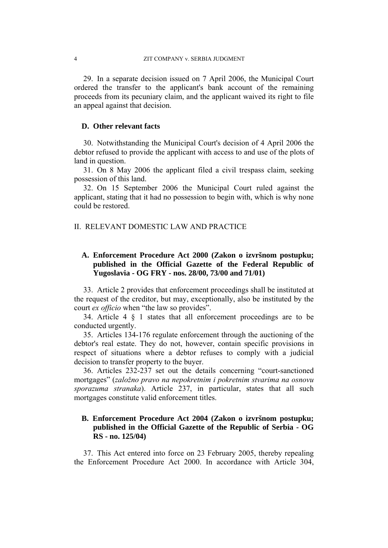29. In a separate decision issued on 7 April 2006, the Municipal Court ordered the transfer to the applicant's bank account of the remaining proceeds from its pecuniary claim, and the applicant waived its right to file an appeal against that decision.

### **D. Other relevant facts**

30. Notwithstanding the Municipal Court's decision of 4 April 2006 the debtor refused to provide the applicant with access to and use of the plots of land in question.

31. On 8 May 2006 the applicant filed a civil trespass claim, seeking possession of this land.

32. On 15 September 2006 the Municipal Court ruled against the applicant, stating that it had no possession to begin with, which is why none could be restored.

# II. RELEVANT DOMESTIC LAW AND PRACTICE

# **A. Enforcement Procedure Act 2000 (Zakon o izvršnom postupku; published in the Official Gazette of the Federal Republic of Yugoslavia - OG FRY - nos. 28/00, 73/00 and 71/01)**

33. Article 2 provides that enforcement proceedings shall be instituted at the request of the creditor, but may, exceptionally, also be instituted by the court *ex officio* when "the law so provides".

34. Article 4 § 1 states that all enforcement proceedings are to be conducted urgently.

35. Articles 134-176 regulate enforcement through the auctioning of the debtor's real estate. They do not, however, contain specific provisions in respect of situations where a debtor refuses to comply with a judicial decision to transfer property to the buyer.

36. Articles 232-237 set out the details concerning "court-sanctioned mortgages" (*založno pravo na nepokretnim i pokretnim stvarima na osnovu sporazuma stranaka*). Article 237, in particular, states that all such mortgages constitute valid enforcement titles.

### **B. Enforcement Procedure Act 2004 (Zakon o izvršnom postupku; published in the Official Gazette of the Republic of Serbia - OG RS - no. 125/04)**

37. This Act entered into force on 23 February 2005, thereby repealing the Enforcement Procedure Act 2000. In accordance with Article 304,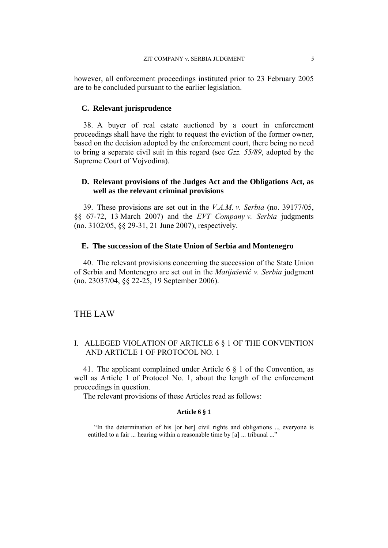however, all enforcement proceedings instituted prior to 23 February 2005 are to be concluded pursuant to the earlier legislation.

### **C. Relevant jurisprudence**

38. A buyer of real estate auctioned by a court in enforcement proceedings shall have the right to request the eviction of the former owner, based on the decision adopted by the enforcement court, there being no need to bring a separate civil suit in this regard (see *Gzz. 55/89*, adopted by the Supreme Court of Vojvodina).

### **D. Relevant provisions of the Judges Act and the Obligations Act, as well as the relevant criminal provisions**

39. These provisions are set out in the *V.A.M. v. Serbia* (no. 39177/05, §§ 67-72, 13 March 2007) and the *EVT Company v. Serbia* judgments (no. 3102/05, §§ 29-31, 21 June 2007), respectively.

### **E. The succession of the State Union of Serbia and Montenegro**

40. The relevant provisions concerning the succession of the State Union of Serbia and Montenegro are set out in the *Matijašević v. Serbia* judgment (no. 23037/04, §§ 22-25, 19 September 2006).

# THE LAW

### I. ALLEGED VIOLATION OF ARTICLE 6 § 1 OF THE CONVENTION AND ARTICLE 1 OF PROTOCOL NO. 1

41. The applicant complained under Article 6 § 1 of the Convention, as well as Article 1 of Protocol No. 1, about the length of the enforcement proceedings in question.

The relevant provisions of these Articles read as follows:

#### **Article 6 § 1**

 "In the determination of his [or her] civil rights and obligations .., everyone is entitled to a fair ... hearing within a reasonable time by [a] ... tribunal ..."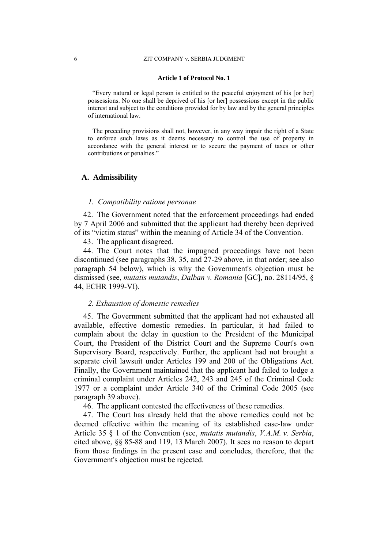#### 6 ZIT COMPANY v. SERBIA JUDGMENT

#### **Article 1 of Protocol No. 1**

"Every natural or legal person is entitled to the peaceful enjoyment of his [or her] possessions. No one shall be deprived of his [or her] possessions except in the public interest and subject to the conditions provided for by law and by the general principles of international law.

The preceding provisions shall not, however, in any way impair the right of a State to enforce such laws as it deems necessary to control the use of property in accordance with the general interest or to secure the payment of taxes or other contributions or penalties."

#### **A. Admissibility**

### *1. Compatibility ratione personae*

42. The Government noted that the enforcement proceedings had ended by 7 April 2006 and submitted that the applicant had thereby been deprived of its "victim status" within the meaning of Article 34 of the Convention.

43. The applicant disagreed.

44. The Court notes that the impugned proceedings have not been discontinued (see paragraphs 38, 35, and 27-29 above, in that order; see also paragraph 54 below), which is why the Government's objection must be dismissed (see, *mutatis mutandis*, *Dalban v. Romania* [GC], no. 28114/95, § 44, ECHR 1999-VI).

### *2. Exhaustion of domestic remedies*

45. The Government submitted that the applicant had not exhausted all available, effective domestic remedies. In particular, it had failed to complain about the delay in question to the President of the Municipal Court, the President of the District Court and the Supreme Court's own Supervisory Board, respectively. Further, the applicant had not brought a separate civil lawsuit under Articles 199 and 200 of the Obligations Act. Finally, the Government maintained that the applicant had failed to lodge a criminal complaint under Articles 242, 243 and 245 of the Criminal Code 1977 or a complaint under Article 340 of the Criminal Code 2005 (see paragraph 39 above).

46. The applicant contested the effectiveness of these remedies.

47. The Court has already held that the above remedies could not be deemed effective within the meaning of its established case-law under Article 35 § 1 of the Convention (see, *mutatis mutandis*, *V.A.M. v. Serbia*, cited above, §§ 85-88 and 119, 13 March 2007). It sees no reason to depart from those findings in the present case and concludes, therefore, that the Government's objection must be rejected.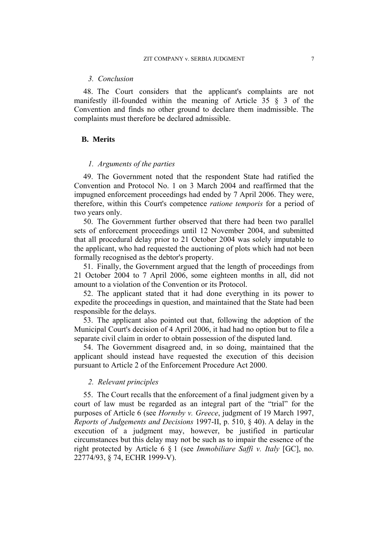#### *3. Conclusion*

48. The Court considers that the applicant's complaints are not manifestly ill-founded within the meaning of Article 35 § 3 of the Convention and finds no other ground to declare them inadmissible. The complaints must therefore be declared admissible.

### **B. Merits**

### *1. Arguments of the parties*

49. The Government noted that the respondent State had ratified the Convention and Protocol No. 1 on 3 March 2004 and reaffirmed that the impugned enforcement proceedings had ended by 7 April 2006. They were, therefore, within this Court's competence *ratione temporis* for a period of two years only.

50. The Government further observed that there had been two parallel sets of enforcement proceedings until 12 November 2004, and submitted that all procedural delay prior to 21 October 2004 was solely imputable to the applicant, who had requested the auctioning of plots which had not been formally recognised as the debtor's property.

51. Finally, the Government argued that the length of proceedings from 21 October 2004 to 7 April 2006, some eighteen months in all, did not amount to a violation of the Convention or its Protocol.

52. The applicant stated that it had done everything in its power to expedite the proceedings in question, and maintained that the State had been responsible for the delays.

53. The applicant also pointed out that, following the adoption of the Municipal Court's decision of 4 April 2006, it had had no option but to file a separate civil claim in order to obtain possession of the disputed land.

54. The Government disagreed and, in so doing, maintained that the applicant should instead have requested the execution of this decision pursuant to Article 2 of the Enforcement Procedure Act 2000.

### *2. Relevant principles*

55. The Court recalls that the enforcement of a final judgment given by a court of law must be regarded as an integral part of the "trial" for the purposes of Article 6 (see *Hornsby v. Greece*, judgment of 19 March 1997, *Reports of Judgements and Decisions* 1997-II, p. 510, § 40). A delay in the execution of a judgment may, however, be justified in particular circumstances but this delay may not be such as to impair the essence of the right protected by Article 6 § 1 (see *Immobiliare Saffi v. Italy* [GC], no. 22774/93, § 74, ECHR 1999-V).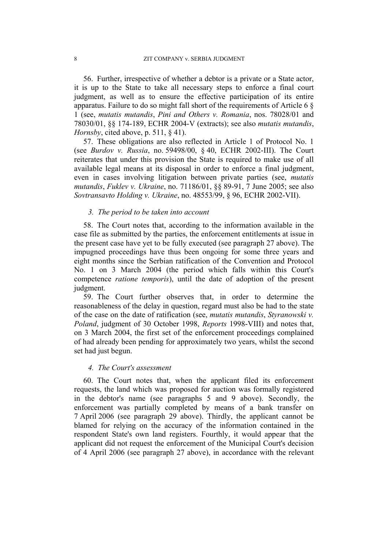56. Further, irrespective of whether a debtor is a private or a State actor, it is up to the State to take all necessary steps to enforce a final court judgment, as well as to ensure the effective participation of its entire apparatus. Failure to do so might fall short of the requirements of Article 6 § 1 (see, *mutatis mutandis*, *Pini and Others v. Romania*, nos. 78028/01 and 78030/01, §§ 174-189, ECHR 2004-V (extracts); see also *mutatis mutandis*, *Hornsby*, cited above, p. 511, § 41).

57. These obligations are also reflected in Article 1 of Protocol No. 1 (see *Burdov v. Russia*, no. 59498/00, § 40, ECHR 2002-III). The Court reiterates that under this provision the State is required to make use of all available legal means at its disposal in order to enforce a final judgment, even in cases involving litigation between private parties (see, *mutatis mutandis*, *Fuklev v. Ukraine*, no. 71186/01, §§ 89-91, 7 June 2005; see also *Sovtransavto Holding v. Ukraine*, no. 48553/99, § 96, ECHR 2002-VII).

### *3. The period to be taken into account*

58. The Court notes that, according to the information available in the case file as submitted by the parties, the enforcement entitlements at issue in the present case have yet to be fully executed (see paragraph 27 above). The impugned proceedings have thus been ongoing for some three years and eight months since the Serbian ratification of the Convention and Protocol No. 1 on 3 March 2004 (the period which falls within this Court's competence *ratione temporis*), until the date of adoption of the present judgment.

59. The Court further observes that, in order to determine the reasonableness of the delay in question, regard must also be had to the state of the case on the date of ratification (see, *mutatis mutandis*, *Styranowski v. Poland*, judgment of 30 October 1998, *Reports* 1998-VIII) and notes that, on 3 March 2004, the first set of the enforcement proceedings complained of had already been pending for approximately two years, whilst the second set had just begun.

### *4. The Court's assessment*

60. The Court notes that, when the applicant filed its enforcement requests, the land which was proposed for auction was formally registered in the debtor's name (see paragraphs 5 and 9 above). Secondly, the enforcement was partially completed by means of a bank transfer on 7 April 2006 (see paragraph 29 above). Thirdly, the applicant cannot be blamed for relying on the accuracy of the information contained in the respondent State's own land registers. Fourthly, it would appear that the applicant did not request the enforcement of the Municipal Court's decision of 4 April 2006 (see paragraph 27 above), in accordance with the relevant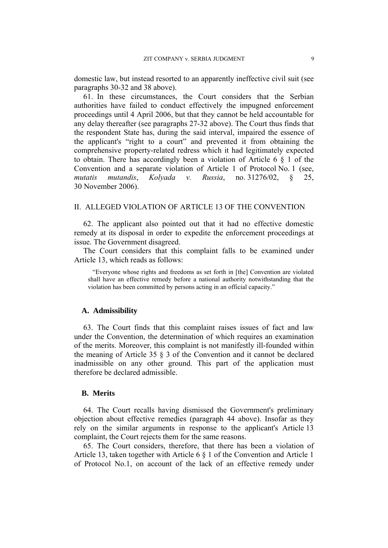domestic law, but instead resorted to an apparently ineffective civil suit (see paragraphs 30-32 and 38 above).

61. In these circumstances, the Court considers that the Serbian authorities have failed to conduct effectively the impugned enforcement proceedings until 4 April 2006, but that they cannot be held accountable for any delay thereafter (see paragraphs 27-32 above). The Court thus finds that the respondent State has, during the said interval, impaired the essence of the applicant's "right to a court" and prevented it from obtaining the comprehensive property-related redress which it had legitimately expected to obtain. There has accordingly been a violation of Article 6 § 1 of the Convention and a separate violation of Article 1 of Protocol No. 1 (see, *mutatis mutandis*, *Kolyada v. Russia*, no. 31276/02, § 25, 30 November 2006).

## II. ALLEGED VIOLATION OF ARTICLE 13 OF THE CONVENTION

62. The applicant also pointed out that it had no effective domestic remedy at its disposal in order to expedite the enforcement proceedings at issue. The Government disagreed.

The Court considers that this complaint falls to be examined under Article 13, which reads as follows:

"Everyone whose rights and freedoms as set forth in [the] Convention are violated shall have an effective remedy before a national authority notwithstanding that the violation has been committed by persons acting in an official capacity."

### **A. Admissibility**

63. The Court finds that this complaint raises issues of fact and law under the Convention, the determination of which requires an examination of the merits. Moreover, this complaint is not manifestly ill-founded within the meaning of Article 35 § 3 of the Convention and it cannot be declared inadmissible on any other ground. This part of the application must therefore be declared admissible.

### **B. Merits**

64. The Court recalls having dismissed the Government's preliminary objection about effective remedies (paragraph 44 above). Insofar as they rely on the similar arguments in response to the applicant's Article 13 complaint, the Court rejects them for the same reasons.

65. The Court considers, therefore, that there has been a violation of Article 13, taken together with Article 6 § 1 of the Convention and Article 1 of Protocol No.1, on account of the lack of an effective remedy under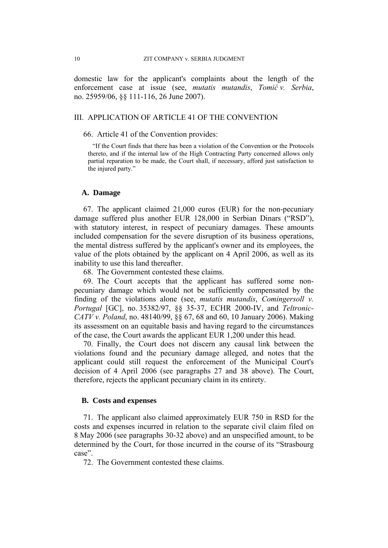domestic law for the applicant's complaints about the length of the enforcement case at issue (see, *mutatis mutandis*, *Tomić v. Serbia*, no. 25959/06, §§ 111-116, 26 June 2007).

### III. APPLICATION OF ARTICLE 41 OF THE CONVENTION

66. Article 41 of the Convention provides:

"If the Court finds that there has been a violation of the Convention or the Protocols thereto, and if the internal law of the High Contracting Party concerned allows only partial reparation to be made, the Court shall, if necessary, afford just satisfaction to the injured party."

### **A. Damage**

67. The applicant claimed 21,000 euros (EUR) for the non-pecuniary damage suffered plus another EUR 128,000 in Serbian Dinars ("RSD"), with statutory interest, in respect of pecuniary damages. These amounts included compensation for the severe disruption of its business operations, the mental distress suffered by the applicant's owner and its employees, the value of the plots obtained by the applicant on 4 April 2006, as well as its inability to use this land thereafter.

68. The Government contested these claims.

69. The Court accepts that the applicant has suffered some nonpecuniary damage which would not be sufficiently compensated by the finding of the violations alone (see, *mutatis mutandis*, *Comingersoll v. Portugal* [GC], no. 35382/97, §§ 35-37, ECHR 2000-IV, and *Teltronic-CATV v. Poland*, no. 48140/99, §§ 67, 68 and 60, 10 January 2006). Making its assessment on an equitable basis and having regard to the circumstances of the case, the Court awards the applicant EUR 1,200 under this head.

70. Finally, the Court does not discern any causal link between the violations found and the pecuniary damage alleged, and notes that the applicant could still request the enforcement of the Municipal Court's decision of 4 April 2006 (see paragraphs 27 and 38 above). The Court, therefore, rejects the applicant pecuniary claim in its entirety.

### **B. Costs and expenses**

71. The applicant also claimed approximately EUR 750 in RSD for the costs and expenses incurred in relation to the separate civil claim filed on 8 May 2006 (see paragraphs 30-32 above) and an unspecified amount, to be determined by the Court, for those incurred in the course of its "Strasbourg case".

72. The Government contested these claims.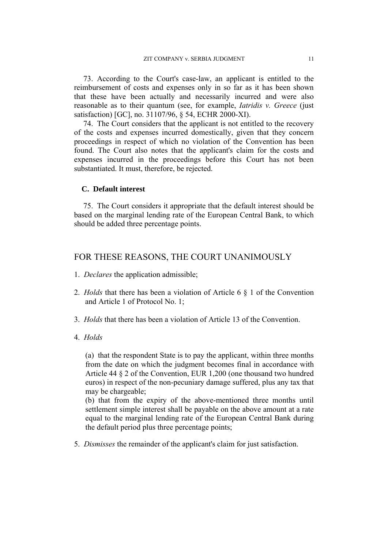73. According to the Court's case-law, an applicant is entitled to the reimbursement of costs and expenses only in so far as it has been shown that these have been actually and necessarily incurred and were also reasonable as to their quantum (see, for example, *Iatridis v. Greece* (just satisfaction) [GC], no. 31107/96, § 54, ECHR 2000-XI).

74. The Court considers that the applicant is not entitled to the recovery of the costs and expenses incurred domestically, given that they concern proceedings in respect of which no violation of the Convention has been found. The Court also notes that the applicant's claim for the costs and expenses incurred in the proceedings before this Court has not been substantiated. It must, therefore, be rejected.

### **C. Default interest**

75. The Court considers it appropriate that the default interest should be based on the marginal lending rate of the European Central Bank, to which should be added three percentage points.

### FOR THESE REASONS, THE COURT UNANIMOUSLY

- 1. *Declares* the application admissible;
- 2. *Holds* that there has been a violation of Article 6 § 1 of the Convention and Article 1 of Protocol No. 1;
- 3. *Holds* that there has been a violation of Article 13 of the Convention.
- 4. *Holds*

(a) that the respondent State is to pay the applicant, within three months from the date on which the judgment becomes final in accordance with Article 44 § 2 of the Convention, EUR 1,200 (one thousand two hundred euros) in respect of the non-pecuniary damage suffered, plus any tax that may be chargeable;

(b) that from the expiry of the above-mentioned three months until settlement simple interest shall be payable on the above amount at a rate equal to the marginal lending rate of the European Central Bank during the default period plus three percentage points;

5. *Dismisses* the remainder of the applicant's claim for just satisfaction.